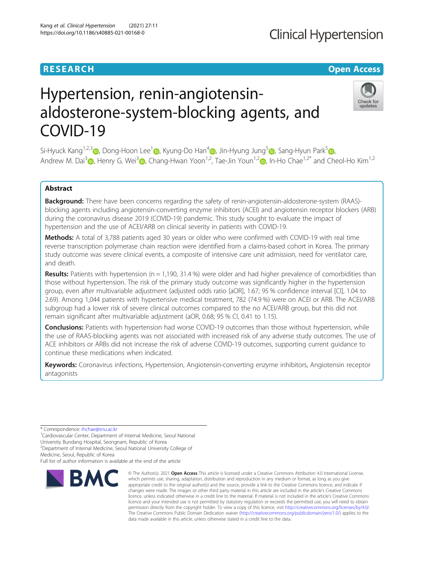## **RESEARCH CHINESE ARCH CHINESE ARCHITECT ARCHITECT ARCHITECT ARCHITECT ARCHITECT ARCHITECT ARCHITECT ARCHITECT ARCHITECT ARCHITECT ARCHITECT ARCHITECT ARCHITECT ARCHITECT ARCHITECT ARCHITECT ARCHITECT ARCHITECT ARCHITE**

## **Clinical Hypertension**

Check for updates

# Hypertension, renin-angiotensinaldosterone-system-blocking agents, and COVID-19

Si-Hyuck Kang<sup>1,2,[3](http://orcid.org/0000-0003-4755-6367)</sup> (a), Dong-Hoon Lee<sup>[1](http://orcid.org/0000-0001-9475-2569)</sup> (a), Kyung-Do Han<sup>[4](http://orcid.org/0000-0002-6096-1263)</sup> (a), Jin-Hyung Jung<sup>[5](http://orcid.org/0000-0002-8920-8777)</sup> (a)[,](http://orcid.org/0000-0003-0612-2562) Sang-Hyun Park<sup>5</sup> (a), Andrew M. Dai<sup>3</sup> [,](http://orcid.org/0000-0001-6305-4442) Henry G. Wei<sup>[3](http://orcid.org/0000-0002-5887-8348)</sup> , Chang-Hwan Yoon<sup>1,2</sup>, Tae-Jin Youn<sup>1,2</sup> , In-Ho Chae<sup>1,2\*</sup> and Cheol-Ho Kim<sup>1,2</sup>

## Abstract

Background: There have been concerns regarding the safety of renin-angiotensin-aldosterone-system (RAAS)blocking agents including angiotensin-converting enzyme inhibitors (ACEI) and angiotensin receptor blockers (ARB) during the coronavirus disease 2019 (COVID-19) pandemic. This study sought to evaluate the impact of hypertension and the use of ACEI/ARB on clinical severity in patients with COVID-19.

**Methods:** A total of 3,788 patients aged 30 years or older who were confirmed with COVID-19 with real time reverse transcription polymerase chain reaction were identified from a claims-based cohort in Korea. The primary study outcome was severe clinical events, a composite of intensive care unit admission, need for ventilator care, and death.

**Results:** Patients with hypertension ( $n = 1,190, 31.4\%$ ) were older and had higher prevalence of comorbidities than those without hypertension. The risk of the primary study outcome was significantly higher in the hypertension group, even after multivariable adjustment (adjusted odds ratio [aOR], 1.67; 95 % confidence interval [CI], 1.04 to 2.69). Among 1,044 patients with hypertensive medical treatment, 782 (74.9 %) were on ACEI or ARB. The ACEI/ARB subgroup had a lower risk of severe clinical outcomes compared to the no ACEI/ARB group, but this did not remain significant after multivariable adjustment (aOR, 0.68; 95 % CI, 0.41 to 1.15).

**Conclusions:** Patients with hypertension had worse COVID-19 outcomes than those without hypertension, while the use of RAAS-blocking agents was not associated with increased risk of any adverse study outcomes. The use of ACE inhibitors or ARBs did not increase the risk of adverse COVID-19 outcomes, supporting current guidance to continue these medications when indicated.

Keywords: Coronavirus infections, Hypertension, Angiotensin-converting enzyme inhibitors, Angiotensin receptor antagonists

\* Correspondence: [ihchae@snu.ac.kr](mailto:ihchae@snu.ac.kr) <sup>1</sup>

<sup>1</sup>Cardiovascular Center, Department of Internal Medicine, Seoul National

University Bundang Hospital, Seongnam, Republic of Korea <sup>2</sup> Department of Internal Medicine, Seoul National University College of

Medicine, Seoul, Republic of Korea

Full list of author information is available at the end of the article



<sup>©</sup> The Author(s), 2021 **Open Access** This article is licensed under a Creative Commons Attribution 4.0 International License, which permits use, sharing, adaptation, distribution and reproduction in any medium or format, as long as you give appropriate credit to the original author(s) and the source, provide a link to the Creative Commons licence, and indicate if changes were made. The images or other third party material in this article are included in the article's Creative Commons licence, unless indicated otherwise in a credit line to the material. If material is not included in the article's Creative Commons licence and your intended use is not permitted by statutory regulation or exceeds the permitted use, you will need to obtain permission directly from the copyright holder. To view a copy of this licence, visit [http://creativecommons.org/licenses/by/4.0/.](http://creativecommons.org/licenses/by/4.0/) The Creative Commons Public Domain Dedication waiver [\(http://creativecommons.org/publicdomain/zero/1.0/](http://creativecommons.org/publicdomain/zero/1.0/)) applies to the data made available in this article, unless otherwise stated in a credit line to the data.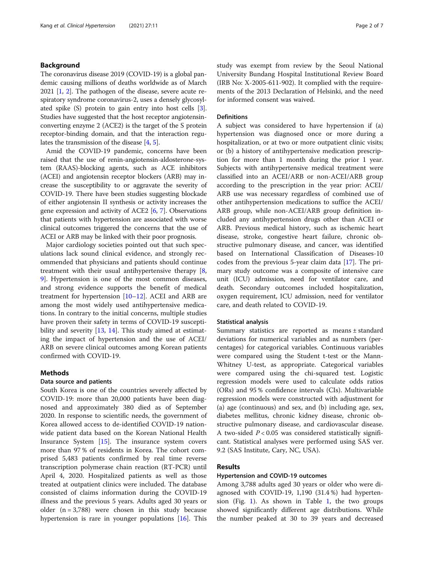## Background

The coronavirus disease 2019 (COVID-19) is a global pandemic causing millions of deaths worldwide as of March 2021 [\[1](#page-5-0), [2\]](#page-5-0). The pathogen of the disease, severe acute respiratory syndrome coronavirus-2, uses a densely glycosylated spike (S) protein to gain entry into host cells [[3](#page-5-0)]. Studies have suggested that the host receptor angiotensinconverting enzyme 2 (ACE2) is the target of the S protein receptor-binding domain, and that the interaction regulates the transmission of the disease [\[4,](#page-5-0) [5\]](#page-5-0).

Amid the COVID-19 pandemic, concerns have been raised that the use of renin-angiotensin-aldosterone-system (RAAS)-blocking agents, such as ACE inhibitors (ACEI) and angiotensin receptor blockers (ARB) may increase the susceptibility to or aggravate the severity of COVID-19. There have been studies suggesting blockade of either angiotensin II synthesis or activity increases the gene expression and activity of ACE2 [[6](#page-5-0), [7\]](#page-6-0). Observations that patients with hypertension are associated with worse clinical outcomes triggered the concerns that the use of ACEI or ARB may be linked with their poor prognosis.

Major cardiology societies pointed out that such speculations lack sound clinical evidence, and strongly recommended that physicians and patients should continue treatment with their usual antihypertensive therapy [\[8](#page-6-0), [9\]](#page-6-0). Hypertension is one of the most common diseases, and strong evidence supports the benefit of medical treatment for hypertension [[10](#page-6-0)–[12](#page-6-0)]. ACEI and ARB are among the most widely used antihypertensive medications. In contrary to the initial concerns, multiple studies have proven their safety in terms of COVID-19 suscepti-bility and severity [[13](#page-6-0), [14\]](#page-6-0). This study aimed at estimating the impact of hypertension and the use of ACEI/ ARB on severe clinical outcomes among Korean patients confirmed with COVID-19.

## Methods

### Data source and patients

South Korea is one of the countries severely affected by COVID-19: more than 20,000 patients have been diagnosed and approximately 380 died as of September 2020. In response to scientific needs, the government of Korea allowed access to de-identified COVID-19 nationwide patient data based on the Korean National Health Insurance System [\[15](#page-6-0)]. The insurance system covers more than 97 % of residents in Korea. The cohort comprised 5,483 patients confirmed by real time reverse transcription polymerase chain reaction (RT-PCR) until April 4, 2020. Hospitalized patients as well as those treated at outpatient clinics were included. The database consisted of claims information during the COVID-19 illness and the previous 5 years. Adults aged 30 years or older  $(n = 3,788)$  were chosen in this study because hypertension is rare in younger populations [\[16](#page-6-0)]. This

study was exempt from review by the Seoul National University Bundang Hospital Institutional Review Board (IRB No: X-2005-611-902). It complied with the requirements of the 2013 Declaration of Helsinki, and the need for informed consent was waived.

### Definitions

A subject was considered to have hypertension if (a) hypertension was diagnosed once or more during a hospitalization, or at two or more outpatient clinic visits; or (b) a history of antihypertensive medication prescription for more than 1 month during the prior 1 year. Subjects with antihypertensive medical treatment were classified into an ACEI/ARB or non-ACEI/ARB group according to the prescription in the year prior: ACEI/ ARB use was necessary regardless of combined use of other antihypertension medications to suffice the ACEI/ ARB group, while non-ACEI/ARB group definition included any antihypertension drugs other than ACEI or ARB. Previous medical history, such as ischemic heart disease, stroke, congestive heart failure, chronic obstructive pulmonary disease, and cancer, was identified based on International Classification of Diseases-10 codes from the previous 5-year claim data [[17](#page-6-0)]. The primary study outcome was a composite of intensive care unit (ICU) admission, need for ventilator care, and death. Secondary outcomes included hospitalization, oxygen requirement, ICU admission, need for ventilator care, and death related to COVID-19.

#### Statistical analysis

Summary statistics are reported as means ± standard deviations for numerical variables and as numbers (percentages) for categorical variables. Continuous variables were compared using the Student t-test or the Mann-Whitney U-test, as appropriate. Categorical variables were compared using the chi-squared test. Logistic regression models were used to calculate odds ratios (ORs) and 95 % confidence intervals (CIs). Multivariable regression models were constructed with adjustment for (a) age (continuous) and sex, and (b) including age, sex, diabetes mellitus, chronic kidney disease, chronic obstructive pulmonary disease, and cardiovascular disease. A two-sided  $P < 0.05$  was considered statistically significant. Statistical analyses were performed using SAS ver. 9.2 (SAS Institute, Cary, NC, USA).

## Results

#### Hypertension and COVID-19 outcomes

Among 3,788 adults aged 30 years or older who were diagnosed with COVID-19, 1,190 (31.4 %) had hypertension (Fig. [1\)](#page-2-0). As shown in Table [1](#page-2-0), the two groups showed significantly different age distributions. While the number peaked at 30 to 39 years and decreased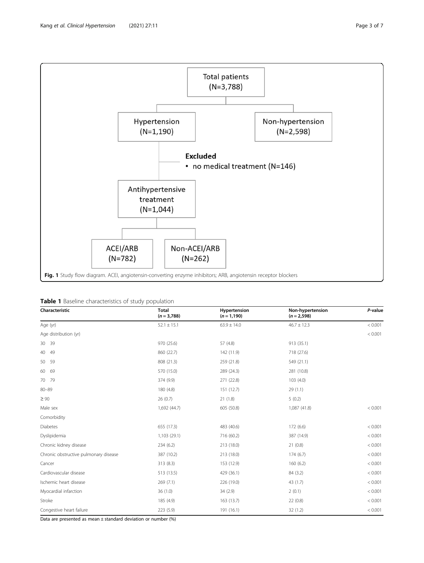<span id="page-2-0"></span>

|  |  | <b>Table 1</b> Baseline characteristics of study population |  |  |
|--|--|-------------------------------------------------------------|--|--|
|--|--|-------------------------------------------------------------|--|--|

| Characteristic                        | <b>Total</b><br>$(n = 3,788)$ | Hypertension<br>$(n = 1, 190)$ | Non-hypertension<br>$(n = 2,598)$ | P-value |
|---------------------------------------|-------------------------------|--------------------------------|-----------------------------------|---------|
| Age (yr)                              | $52.1 \pm 15.1$               | $63.9 \pm 14.0$                | $46.7 \pm 12.3$                   | < 0.001 |
| Age distribution (yr)                 |                               |                                |                                   | < 0.001 |
| 30 39                                 | 970 (25.6)                    | 57 (4.8)                       | 913 (35.1)                        |         |
| 49<br>40                              | 860 (22.7)                    | 142 (11.9)                     | 718 (27.6)                        |         |
| 59<br>50                              | 808 (21.3)                    | 259 (21.8)                     | 549 (21.1)                        |         |
| 60 69                                 | 570 (15.0)                    | 289 (24.3)                     | 281 (10.8)                        |         |
| 70 79                                 | 374 (9.9)                     | 271 (22.8)                     | 103 (4.0)                         |         |
| $80 - 89$                             | 180 (4.8)                     | 151 (12.7)                     | 29(1.1)                           |         |
| $\geq 90$                             | 26(0.7)                       | 21(1.8)                        | 5(0.2)                            |         |
| Male sex                              | 1,692 (44.7)                  | 605 (50.8)                     | 1,087 (41.8)                      | < 0.001 |
| Comorbidity                           |                               |                                |                                   |         |
| <b>Diabetes</b>                       | 655 (17.3)                    | 483 (40.6)                     | 172 (6.6)                         | < 0.001 |
| Dyslipidemia                          | 1,103 (29.1)                  | 716 (60.2)                     | 387 (14.9)                        | < 0.001 |
| Chronic kidney disease                | 234 (6.2)                     | 213 (18.0)                     | 21(0.8)                           | < 0.001 |
| Chronic obstructive pulmonary disease | 387 (10.2)                    | 213 (18.0)                     | 174 (6.7)                         | < 0.001 |
| Cancer                                | 313 (8.3)                     | 153 (12.9)                     | 160(6.2)                          | < 0.001 |
| Cardiovascular disease                | 513 (13.5)                    | 429 (36.1)                     | 84 (3.2)                          | < 0.001 |
| Ischemic heart disease                | 269 (7.1)                     | 226 (19.0)                     | 43 (1.7)                          | < 0.001 |
| Myocardial infarction                 | 36(1.0)                       | 34 (2.9)                       | 2(0.1)                            | < 0.001 |
| Stroke                                | 185 (4.9)                     | 163 (13.7)                     | 22(0.8)                           | < 0.001 |
| Congestive heart failure              | 223 (5.9)                     | 191 (16.1)                     | 32(1.2)                           | < 0.001 |

Data are presented as mean  $\pm$  standard deviation or number (%)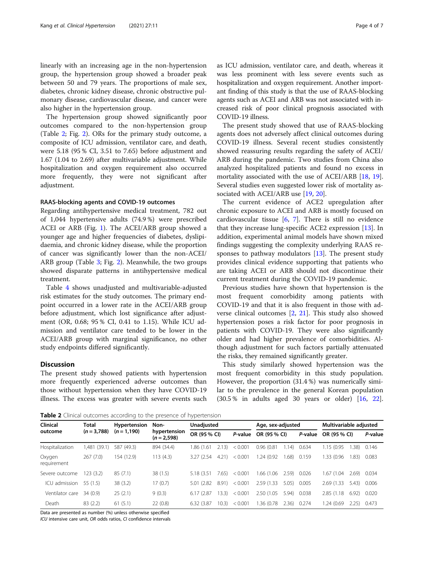linearly with an increasing age in the non-hypertension group, the hypertension group showed a broader peak between 50 and 79 years. The proportions of male sex, diabetes, chronic kidney disease, chronic obstructive pulmonary disease, cardiovascular disease, and cancer were also higher in the hypertension group.

The hypertension group showed significantly poor outcomes compared to the non-hypertension group (Table 2; Fig. [2\)](#page-4-0). ORs for the primary study outcome, a composite of ICU admission, ventilator care, and death, were 5.18 (95 % CI, 3.51 to 7.65) before adjustment and 1.67 (1.04 to 2.69) after multivariable adjustment. While hospitalization and oxygen requirement also occurred more frequently, they were not significant after adjustment.

#### RAAS-blocking agents and COVID-19 outcomes

Regarding antihypertensive medical treatment, 782 out of 1,044 hypertensive adults (74.9 %) were prescribed ACEI or ARB (Fig. [1](#page-2-0)). The ACEI/ARB group showed a younger age and higher frequencies of diabetes, dyslipidaemia, and chronic kidney disease, while the proportion of cancer was significantly lower than the non-ACEI/ ARB group (Table [3;](#page-4-0) Fig. [2\)](#page-4-0). Meanwhile, the two groups showed disparate patterns in antihypertensive medical treatment.

Table [4](#page-5-0) shows unadjusted and multivariable-adjusted risk estimates for the study outcomes. The primary endpoint occurred in a lower rate in the ACEI/ARB group before adjustment, which lost significance after adjustment (OR, 0.68; 95 % CI, 0.41 to 1.15). While ICU admission and ventilator care tended to be lower in the ACEI/ARB group with marginal significance, no other study endpoints differed significantly.

## **Discussion**

The present study showed patients with hypertension more frequently experienced adverse outcomes than those without hypertension when they have COVID-19 illness. The excess was greater with severe events such as ICU admission, ventilator care, and death, whereas it was less prominent with less severe events such as hospitalization and oxygen requirement. Another important finding of this study is that the use of RAAS-blocking agents such as ACEI and ARB was not associated with increased risk of poor clinical prognosis associated with COVID-19 illness.

The present study showed that use of RAAS-blocking agents does not adversely affect clinical outcomes during COVID-19 illness. Several recent studies consistently showed reassuring results regarding the safety of ACEI/ ARB during the pandemic. Two studies from China also analyzed hospitalized patients and found no excess in mortality associated with the use of ACEI/ARB [[18,](#page-6-0) [19](#page-6-0)]. Several studies even suggested lower risk of mortality associated with ACEI/ARB use [[19,](#page-6-0) [20\]](#page-6-0).

The current evidence of ACE2 upregulation after chronic exposure to ACEI and ARB is mostly focused on cardiovascular tissue [[6](#page-5-0), [7\]](#page-6-0). There is still no evidence that they increase lung-specific ACE2 expression [[13](#page-6-0)]. In addition, experimental animal models have shown mixed findings suggesting the complexity underlying RAAS responses to pathway modulators [[13](#page-6-0)]. The present study provides clinical evidence supporting that patients who are taking ACEI or ARB should not discontinue their current treatment during the COVID-19 pandemic.

Previous studies have shown that hypertension is the most frequent comorbidity among patients with COVID-19 and that it is also frequent in those with adverse clinical outcomes [\[2](#page-5-0), [21](#page-6-0)]. This study also showed hypertension poses a risk factor for poor prognosis in patients with COVID-19. They were also significantly older and had higher prevalence of comorbidities. Although adjustment for such factors partially attenuated the risks, they remained significantly greater.

This study similarly showed hypertension was the most frequent comorbidity in this study population. However, the proportion (31.4 %) was numerically similar to the prevalence in the general Korean population (30.5 % in adults aged 30 years or older) [[16,](#page-6-0) [22](#page-6-0)].

Table 2 Clinical outcomes according to the presence of hypertension

| <b>Clinical</b><br>outcome | Total<br>$(n = 3.788)$ | <b>Hypertension</b><br>$(n = 1, 190)$ | <b>TWINTY A</b> Chinedi Udiconnes according to the presence of hypertension<br>Non-<br>hypertension<br>$(n = 2.598)$ | <b>Unadjusted</b> |       | Age, sex-adjusted |              |       | Multivariable adjusted |              |       |         |
|----------------------------|------------------------|---------------------------------------|----------------------------------------------------------------------------------------------------------------------|-------------------|-------|-------------------|--------------|-------|------------------------|--------------|-------|---------|
|                            |                        |                                       |                                                                                                                      | OR (95 % CI)      |       | P-value           | OR (95 % CI) |       | P-value                | OR (95 % CI) |       | P-value |
| Hospitalization            | 1,481 (39.1)           | 587 (49.3)                            | 894 (34.4)                                                                                                           | 1.86 (1.61        | 2.13  | < 0.001           | 0.96(0.81)   | 1.14) | 0.634                  | 1.15 (0.95   | 1.38) | 0.146   |
| Oxygen<br>requirement      | 267(7.0)               | 154 (12.9)                            | 113(4.3)                                                                                                             | 3.27 (2.54)       | 4.21  | < 0.001           | .24(0.92)    | .68)  | 0.159                  | 1.33 (0.96)  | 1.83) | 0.083   |
| Severe outcome             | 123 (3.2)              | 85(7.1)                               | 38(1.5)                                                                                                              | 5.18 (3.51)       | 7.65) | < 0.001           | 1.66 (1.06   | 2.59  | 0.026                  | 1.67 (1.04)  | 2.69  | 0.034   |
| ICU admission              | 55 (1.5)               | 38(3.2)                               | 17(0.7)                                                                                                              | (2.82)<br>5.01    | 8.91) | < 0.001           | 2.59 (1.33)  | 5.05) | 0.005                  | 2.69 (1.33)  | 5.43) | 0.006   |
| Ventilator care            | 34(0.9)                | 25(2.1)                               | 9(0.3)                                                                                                               | 6.17(2.87)        | 13.3) | < 0.001           | 2.50 (1.05)  | 5.94  | 0.038                  | 2.85(1.18)   | 6.92  | 0.020   |
| Death                      | 83(2.2)                | 61(5.1)                               | 22(0.8)                                                                                                              | 6.32 (3.87)       | 10.3) | < 0.001           | .36 (0.78    | 2.36) | 0.274                  | 1.24 (0.69)  | 2.25  | 0.473   |

Data are presented as number (%) unless otherwise specified

ICU intensive care unit, OR odds ratios, CI confidence intervals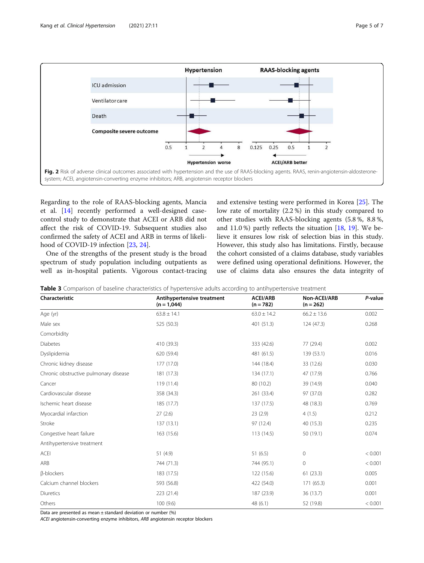<span id="page-4-0"></span>

Regarding to the role of RAAS-blocking agents, Mancia et al. [\[14](#page-6-0)] recently performed a well-designed casecontrol study to demonstrate that ACEI or ARB did not affect the risk of COVID-19. Subsequent studies also confirmed the safety of ACEI and ARB in terms of likelihood of COVID-19 infection [\[23,](#page-6-0) [24\]](#page-6-0).

One of the strengths of the present study is the broad spectrum of study population including outpatients as well as in-hospital patients. Vigorous contact-tracing and extensive testing were performed in Korea [[25\]](#page-6-0). The low rate of mortality (2.2 %) in this study compared to other studies with RAAS-blocking agents (5.8 %, 8.8 %, and 11.0 %) partly reflects the situation [[18](#page-6-0), [19\]](#page-6-0). We believe it ensures low risk of selection bias in this study. However, this study also has limitations. Firstly, because the cohort consisted of a claims database, study variables were defined using operational definitions. However, the use of claims data also ensures the data integrity of

|  | <b>Table 3</b> Comparison of baseline characteristics of hypertensive adults according to antihypertensive treatment |  |  |  |
|--|----------------------------------------------------------------------------------------------------------------------|--|--|--|
|  |                                                                                                                      |  |  |  |

| Characteristic                        | Antihypertensive treatment<br>$(n = 1,044)$ | <b>ACEI/ARB</b><br>$(n = 782)$ | Non-ACEI/ARB<br>$(n = 262)$ | P-value |  |
|---------------------------------------|---------------------------------------------|--------------------------------|-----------------------------|---------|--|
| Age (yr)                              | $63.8 \pm 14.1$                             | $63.0 \pm 14.2$                | $66.2 \pm 13.6$             | 0.002   |  |
| Male sex                              | 525 (50.3)                                  | 401 (51.3)                     | 124 (47.3)                  | 0.268   |  |
| Comorbidity                           |                                             |                                |                             |         |  |
| <b>Diabetes</b>                       | 410 (39.3)                                  | 333 (42.6)                     | 77 (29.4)                   | 0.002   |  |
| Dyslipidemia                          | 620 (59.4)                                  | 481 (61.5)                     | 139 (53.1)                  | 0.016   |  |
| Chronic kidney disease                | 177 (17.0)                                  | 144 (18.4)                     | 33 (12.6)                   | 0.030   |  |
| Chronic obstructive pulmonary disease | 181 (17.3)                                  | 134 (17.1)                     | 47 (17.9)                   | 0.766   |  |
| Cancer                                | 119 (11.4)                                  | 80 (10.2)                      | 39 (14.9)                   | 0.040   |  |
| Cardiovascular disease                | 358 (34.3)                                  | 261 (33.4)                     | 97 (37.0)                   | 0.282   |  |
| Ischemic heart disease                | 185 (17.7)                                  | 137 (17.5)                     | 48 (18.3)                   | 0.769   |  |
| Myocardial infarction                 | 27(2.6)                                     | 23(2.9)                        | 4(1.5)                      | 0.212   |  |
| Stroke                                | 137(13.1)                                   | 97 (12.4)                      | 40 (15.3)                   | 0.235   |  |
| Congestive heart failure              | 163 (15.6)                                  | 113(14.5)                      | 50 (19.1)                   | 0.074   |  |
| Antihypertensive treatment            |                                             |                                |                             |         |  |
| <b>ACEI</b>                           | 51(4.9)                                     | 51(6.5)                        | $\circ$                     | < 0.001 |  |
| ARB                                   | 744 (71.3)                                  | 744 (95.1)                     | $\circ$                     | < 0.001 |  |
| <b>B-blockers</b>                     | 183 (17.5)                                  | 122 (15.6)                     | 61(23.3)                    | 0.005   |  |
| Calcium channel blockers              | 593 (56.8)                                  | 422 (54.0)                     | 171 (65.3)                  | 0.001   |  |
| Diuretics                             | 223 (21.4)                                  | 187 (23.9)                     | 36 (13.7)                   | 0.001   |  |
| Others                                | 100(9.6)                                    | 48 (6.1)                       | 52 (19.8)                   | < 0.001 |  |

Data are presented as mean  $\pm$  standard deviation or number (%)

ACEI angiotensin-converting enzyme inhibitors, ARB angiotensin receptor blockers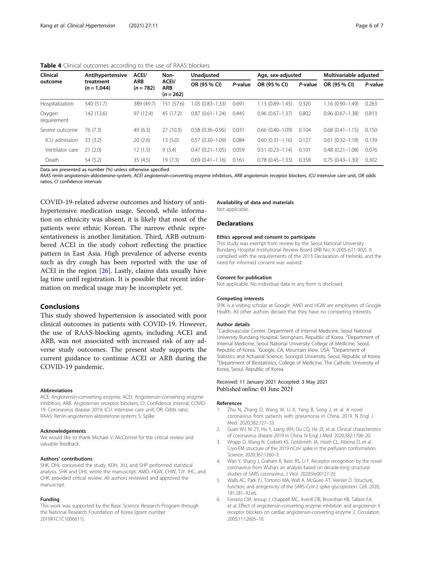<span id="page-5-0"></span>

| Clinical<br>outcome   | Antihypertensive           | ACEI/<br>Non-<br>ACEI/<br><b>ARB</b><br><b>ARB</b><br>$(n = 782)$<br>$(n = 262)$ |               | Unadjusted          |              | Age, sex-adjusted   |              | Multivariable adjusted |       |
|-----------------------|----------------------------|----------------------------------------------------------------------------------|---------------|---------------------|--------------|---------------------|--------------|------------------------|-------|
|                       | treatment<br>$(n = 1,044)$ |                                                                                  | OR (95 % CI)  | P-value             | OR (95 % CI) | P-value             | OR (95 % CI) | P-value                |       |
| Hospitalization       | 540 (51.7)                 | 389 (49.7)                                                                       | (57.6)<br>151 | 1.05 (0.83-1.33)    | 0.691        | $1.13(0.89 - 1.45)$ | 0.320        | $1.16(0.90 - 1.49)$    | 0.263 |
| Oxygen<br>requirement | 142 (13.6)                 | 97(12.4)                                                                         | 45 (17.2)     | $0.87(0.61 - 1.24)$ | 0.445        | $0.96(0.67 - 1.37)$ | 0.802        | $0.96(0.67 - 1.38)$    | 0.813 |
| Severe outcome        | 76 (7.3)                   | 49(6.3)                                                                          | 27(10.3)      | $0.58(0.36 - 0.95)$ | 0.031        | $0.66(0.40 - 1.09)$ | 0.104        | $0.68(0.41 - 1.15)$    | 0.150 |
| ICU admission         | 33(3.2)                    | 20(2.6)                                                                          | 13(5.0)       | $0.57(0.30 - 1.09)$ | 0.084        | $0.60(0.31 - 1.16)$ | 0.127        | $0.61(0.32 - 1.18)$    | 0.139 |
| Ventilator care       | 21(2.0)                    | 12 (1.5)                                                                         | 9(3.4)        | $0.47(0.21 - 1.05)$ | 0.059        | $0.51(0.23 - 1.14)$ | 0.101        | $0.48(0.21 - 1.08)$    | 0.076 |
| Death                 | 54 (5.2)                   | 35(4.5)                                                                          | 19(7.3)       | $0.69(0.41 - 1.16)$ | 0.161        | $0.78(0.45 - 1.33)$ | 0.358        | $0.75(0.43 - 1.30)$    | 0.302 |

Data are presented as number (%) unless otherwise specified

RAAS renin-angiotensin-aldosterone-system, ACEI angiotensin-converting enzyme inhibitors, ARB angiotensin receptor blockers, ICU intensive care unit, OR odds ratios, CI confidence intervals

COVID-19-related adverse outcomes and history of antihypertensive medication usage. Second, while information on ethnicity was absent, it is likely that most of the patients were ethnic Korean. The narrow ethnic representativeness is another limitation. Third, ARB outnumbered ACEI in the study cohort reflecting the practice pattern in East Asia. High prevalence of adverse events such as dry cough has been reported with the use of ACEI in the region  $[26]$  $[26]$  $[26]$ . Lastly, claims data usually have lag time until registration. It is possible that recent information on medical usage may be incomplete yet.

## Conclusions

This study showed hypertension is associated with poor clinical outcomes in patients with COVID-19. However, the use of RAAS-blocking agents, including ACEI and ARB, was not associated with increased risk of any adverse study outcomes. The present study supports the current guidance to continue ACEI or ARB during the COVID-19 pandemic.

#### Abbreviations

ACE: Angiotensin-converting enzyme; ACEI: Angiotensin-converting enzyme inhibitors; ARB: Angiotensin receptor blockers; CI: Confidence interval; COVID-19: Coronavirus disease 2019; ICU: Intensive care unit; OR: Odds ratio; RAAS: Renin-angiotensin-aldosterone-system; S: Spike

#### Acknowledgements

We would like to thank Michael V. McConnel for the critical review and valuable feedback.

#### Authors' contributions

SHK, DHL conceived the study, KDH, JHJ, and SHP performed statistical analysis. SHK and DHL wrote the manuscript. AMD, HGW, CHW, TJY, IHC, and CHK. provided critical review. All authors reviewed and approved the manuscript.

#### Funding

This work was supported by the Basic Science Research Program through the National Research Foundation of Korea (grant number 2019R1C1C1006611).

Availability of data and materials Not applicable.

#### **Declarations**

#### Ethics approval and consent to participate

This study was exempt from review by the Seoul National University Bundang Hospital Institutional Review Board (IRB No: X-2005-611-902). It complied with the requirements of the 2013 Declaration of Helsinki, and the need for informed consent was waived.

#### Consent for publication

Not applicable. No individual data in any form is disclosed.

#### Competing interests

SHK is a visiting scholar at Google. AMD and HGW are employees of Google Health. All other authors declare that they have no competing interests.

#### Author details

<sup>1</sup> Cardiovascular Center, Department of Internal Medicine, Seoul National University Bundang Hospital, Seongnam, Republic of Korea. <sup>2</sup>Department of Internal Medicine, Seoul National University College of Medicine, Seoul, Republic of Korea. <sup>3</sup> Google, CA, Mountain View, USA. <sup>4</sup> Department of Statistics and Actuarial Science, Soongsil University, Seoul, Republic of Korea. 5 Department of Biostatistics, College of Medicine, The Catholic University of Korea, Seoul, Republic of Korea.

#### Received: 11 January 2021 Accepted: 3 May 2021 Published online: 01 June 2021

#### References

- 1. Zhu N, Zhang D, Wang W, Li X, Yang B, Song J, et al. A novel coronavirus from patients with pneumonia in China, 2019. N Engl J Med. 2020;382:727–33.
- 2. Guan WJ, Ni ZY, Hu Y, Liang WH, Ou CQ, He JX, et al. Clinical characteristics of coronavirus disease 2019 in China. N Engl J Med. 2020;382:1708–20.
- 3. Wrapp D, Wang N, Corbett KS, Goldsmith JA, Hsieh CL, Abiona O, et al. Cryo-EM structure of the 2019-nCoV spike in the prefusion conformation. Science. 2020;367:1260–3.
- 4. Wan Y, Shang J, Graham R, Baric RS, Li F. Receptor recognition by the novel coronavirus from Wuhan: an analysis based on decade-long structural studies of SARS coronavirus. J Virol. 2020;9:e00127-20.
- 5. Walls AC, Park YJ, Tortorici MA, Wall A, McGuire AT, Veesler D. Structure, function, and antigenicity of the SARS-CoV-2 spike glycoprotein. Cell. 2020; 181:281–92.e6.
- 6. Ferrario CM, Jessup J, Chappell MC, Averill DB, Brosnihan KB, Tallant EA, et al. Effect of angiotensin-converting enzyme inhibition and angiotensin II receptor blockers on cardiac angiotensin-converting enzyme 2. Circulation. 2005;111:2605–10.